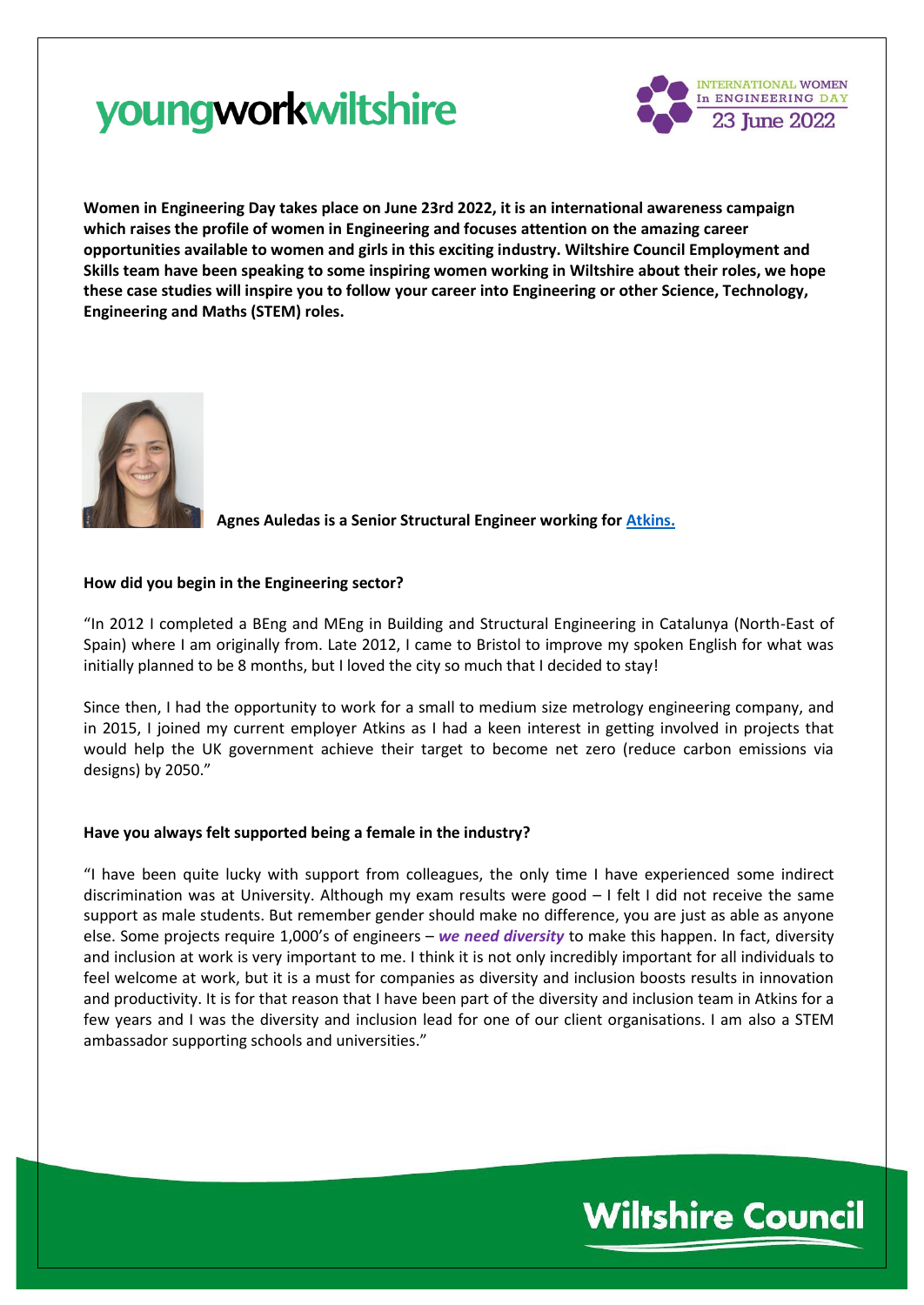

**Women in Engineering Day takes place on June 23rd 2022, it is an international awareness campaign which raises the profile of women in Engineering and focuses attention on the amazing career opportunities available to women and girls in this exciting industry. Wiltshire Council Employment and Skills team have been speaking to some inspiring women working in Wiltshire about their roles, we hope these case studies will inspire you to follow your career into Engineering or other Science, Technology, Engineering and Maths (STEM) roles.**



**Agnes Auledas is a Senior Structural Engineer working fo[r Atkins.](https://www.atkinsglobal.com/careers)**

## **How did you begin in the Engineering sector?**

"In 2012 I completed a BEng and MEng in Building and Structural Engineering in Catalunya (North-East of Spain) where I am originally from. Late 2012, I came to Bristol to improve my spoken English for what was initially planned to be 8 months, but I loved the city so much that I decided to stay!

Since then, I had the opportunity to work for a small to medium size metrology engineering company, and in 2015, I joined my current employer Atkins as I had a keen interest in getting involved in projects that would help the UK government achieve their target to become net zero (reduce carbon emissions via designs) by 2050."

## **Have you always felt supported being a female in the industry?**

"I have been quite lucky with support from colleagues, the only time I have experienced some indirect discrimination was at University. Although my exam results were good – I felt I did not receive the same support as male students. But remember gender should make no difference, you are just as able as anyone else. Some projects require 1,000's of engineers – *we need diversity* to make this happen. In fact, diversity and inclusion at work is very important to me. I think it is not only incredibly important for all individuals to feel welcome at work, but it is a must for companies as diversity and inclusion boosts results in innovation and productivity. It is for that reason that I have been part of the diversity and inclusion team in Atkins for a few years and I was the diversity and inclusion lead for one of our client organisations. I am also a STEM ambassador supporting schools and universities."

## **Wiltshire Council**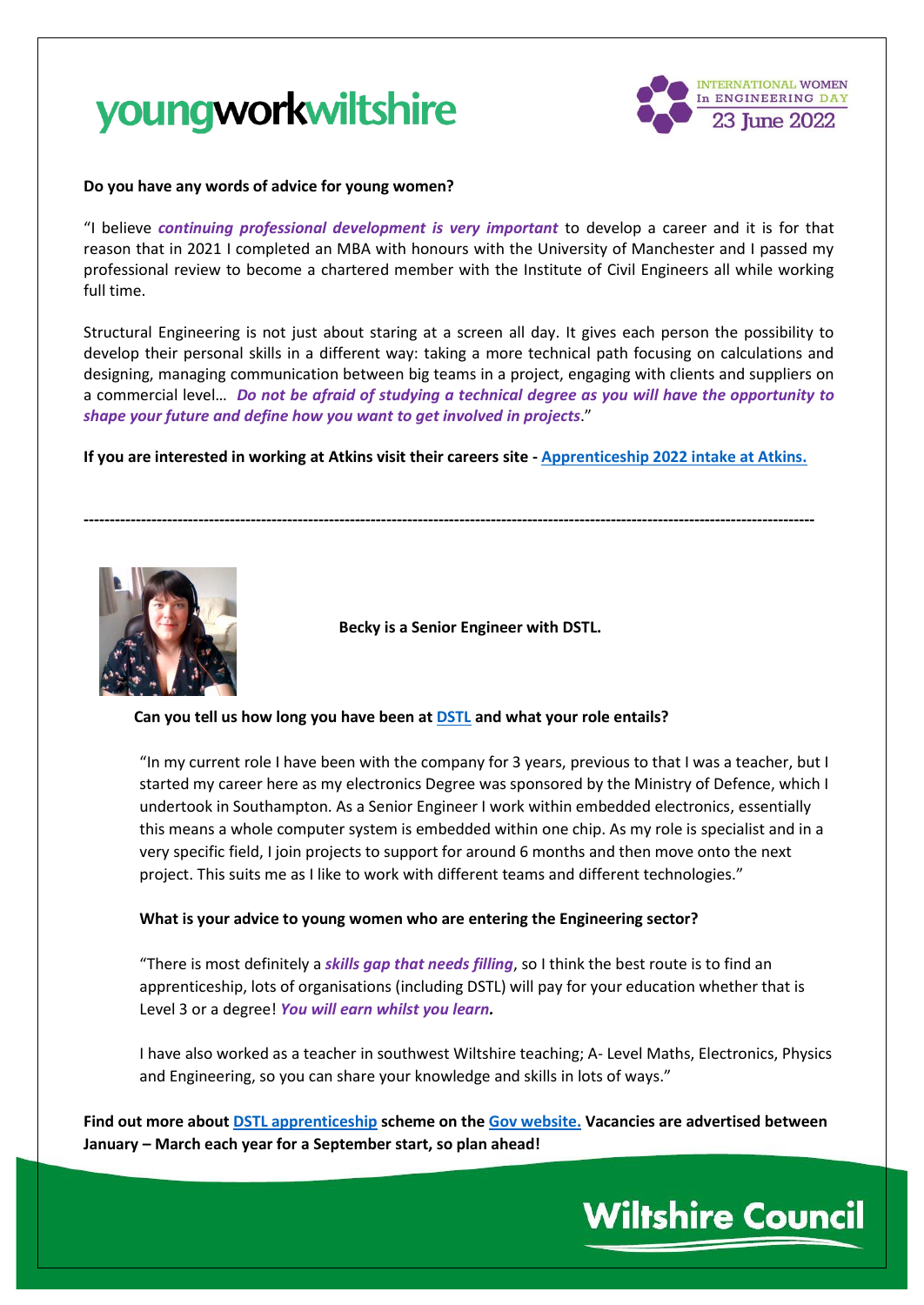

### **Do you have any words of advice for young women?**

"I believe *continuing professional development is very important* to develop a career and it is for that reason that in 2021 I completed an MBA with honours with the University of Manchester and I passed my professional review to become a chartered member with the Institute of Civil Engineers all while working full time.

Structural Engineering is not just about staring at a screen all day. It gives each person the possibility to develop their personal skills in a different way: taking a more technical path focusing on calculations and designing, managing communication between big teams in a project, engaging with clients and suppliers on a commercial level… *Do not be afraid of studying a technical degree as you will have the opportunity to shape your future and define how you want to get involved in projects*."

**If you are interested in working at Atkins visit their careers site - [Apprenticeship 2022 intake at Atkins.](https://careers.snclavalin.com/atkins-early-careers/all-locations-apprentice-roles-2022)**

**--------------------------------------------------------------------------------------------------------------------------------------------**



 **Becky is a Senior Engineer with DSTL.**

#### **Can you tell us how long you have been a[t DSTL](https://www.gov.uk/government/organisations/defence-science-and-technology-laboratory/about/recruitment) and what your role entails?**

"In my current role I have been with the company for 3 years, previous to that I was a teacher, but I started my career here as my electronics Degree was sponsored by the Ministry of Defence, which I undertook in Southampton. As a Senior Engineer I work within embedded electronics, essentially this means a whole computer system is embedded within one chip. As my role is specialist and in a very specific field, I join projects to support for around 6 months and then move onto the next project. This suits me as I like to work with different teams and different technologies."

#### **What is your advice to young women who are entering the Engineering sector?**

"There is most definitely a *skills gap that needs filling*, so I think the best route is to find an apprenticeship, lots of organisations (including DSTL) will pay for your education whether that is Level 3 or a degree! *You will earn whilst you learn.*

I have also worked as a teacher in southwest Wiltshire teaching; A- Level Maths, Electronics, Physics and Engineering, so you can share your knowledge and skills in lots of ways."

**Find out more about [DSTL apprenticeship](https://youtu.be/itXnE95_Q9Q) scheme on the [Gov website.](https://www.gov.uk/guidance/graduates-students-and-apprentices-at-dstl) Vacancies are advertised between January – March each year for a September start, so plan ahead!**

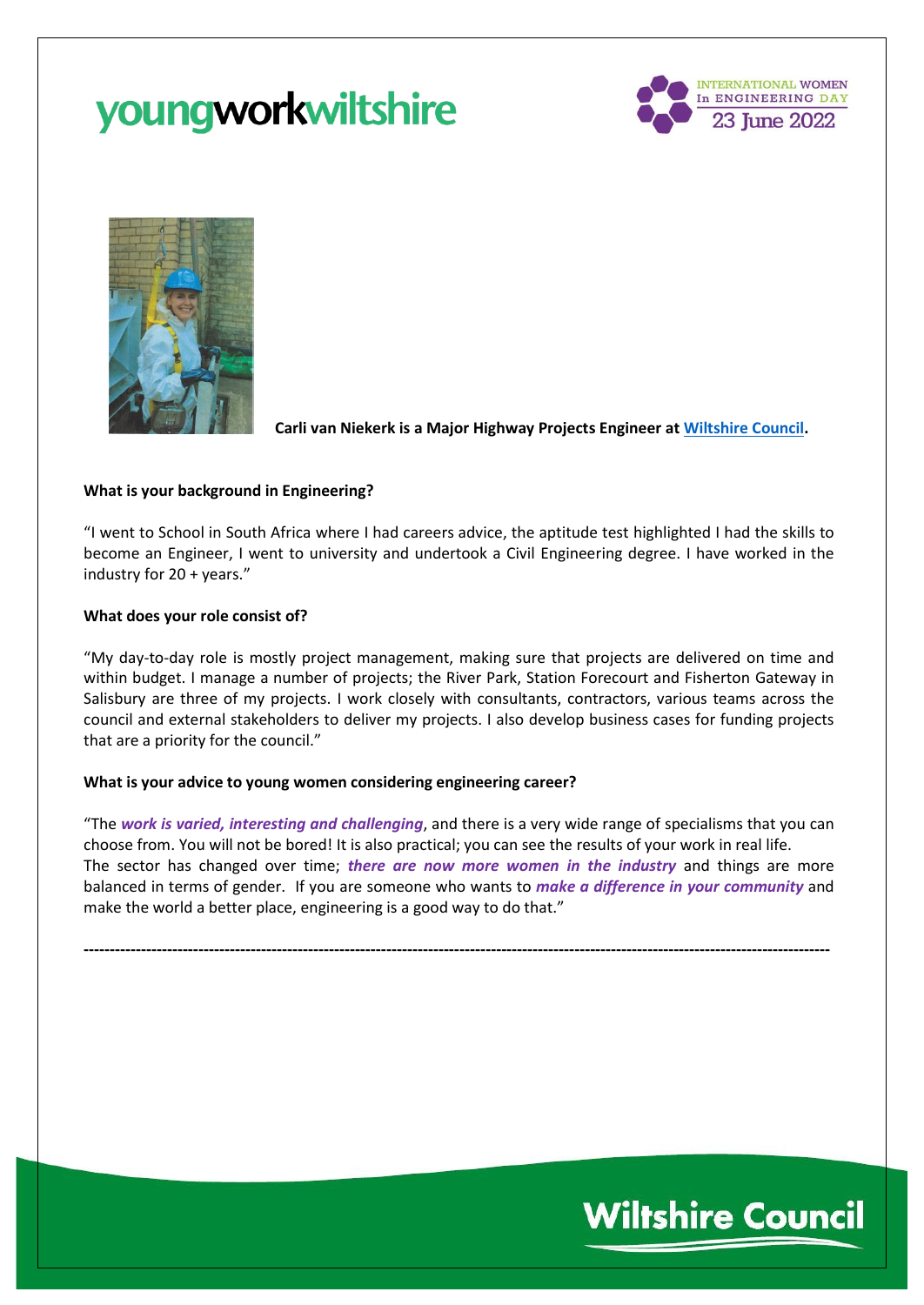



**Carli van Niekerk is a Major Highway Projects Engineer at [Wiltshire Council.](https://jobs.wiltshire.gov.uk/)**

### **What is your background in Engineering?**

"I went to School in South Africa where I had careers advice, the aptitude test highlighted I had the skills to become an Engineer, I went to university and undertook a Civil Engineering degree. I have worked in the industry for 20 + years."

#### **What does your role consist of?**

"My day-to-day role is mostly project management, making sure that projects are delivered on time and within budget. I manage a number of projects; the River Park, Station Forecourt and Fisherton Gateway in Salisbury are three of my projects. I work closely with consultants, contractors, various teams across the council and external stakeholders to deliver my projects. I also develop business cases for funding projects that are a priority for the council."

#### **What is your advice to young women considering engineering career?**

"The *work is varied, interesting and challenging*, and there is a very wide range of specialisms that you can choose from. You will not be bored! It is also practical; you can see the results of your work in real life. The sector has changed over time; *there are now more women in the industry* and things are more balanced in terms of gender. If you are someone who wants to *make a difference in your community* and make the world a better place, engineering is a good way to do that."

**-----------------------------------------------------------------------------------------------------------------------------------------------**

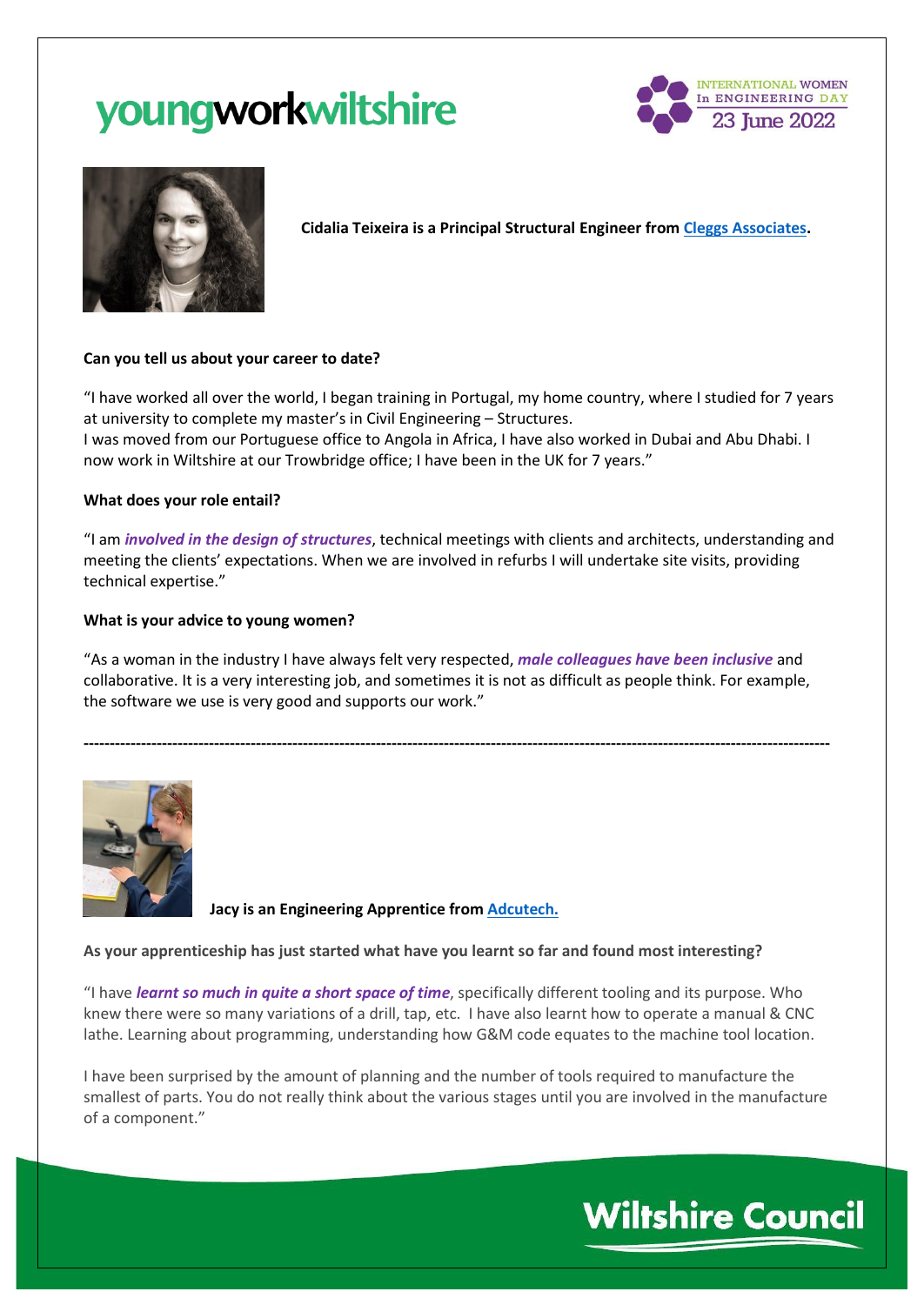



**Cidalia Teixeira is a Principal Structural Engineer from [Cleggs Associates.](https://cleggassociates.co.uk/)**

## **Can you tell us about your career to date?**

"I have worked all over the world, I began training in Portugal, my home country, where I studied for 7 years at university to complete my master's in Civil Engineering – Structures.

I was moved from our Portuguese office to Angola in Africa, I have also worked in Dubai and Abu Dhabi. I now work in Wiltshire at our Trowbridge office; I have been in the UK for 7 years."

## **What does your role entail?**

"I am *involved in the design of structures*, technical meetings with clients and architects, understanding and meeting the clients' expectations. When we are involved in refurbs I will undertake site visits, providing technical expertise."

## **What is your advice to young women?**

"As a woman in the industry I have always felt very respected, *male colleagues have been inclusive* and collaborative. It is a very interesting job, and sometimes it is not as difficult as people think. For example, the software we use is very good and supports our work."

**-----------------------------------------------------------------------------------------------------------------------------------------------** 



**Jacy is an Engineering Apprentice fro[m Adcutech.](https://adcutech.co.uk/)**

## **As your apprenticeship has just started what have you learnt so far and found most interesting?**

"I have *learnt so much in quite a short space of time*, specifically different tooling and its purpose. Who knew there were so many variations of a drill, tap, etc. I have also learnt how to operate a manual & CNC lathe. Learning about programming, understanding how G&M code equates to the machine tool location.

I have been surprised by the amount of planning and the number of tools required to manufacture the smallest of parts. You do not really think about the various stages until you are involved in the manufacture of a component."

# **Wiltshire Council**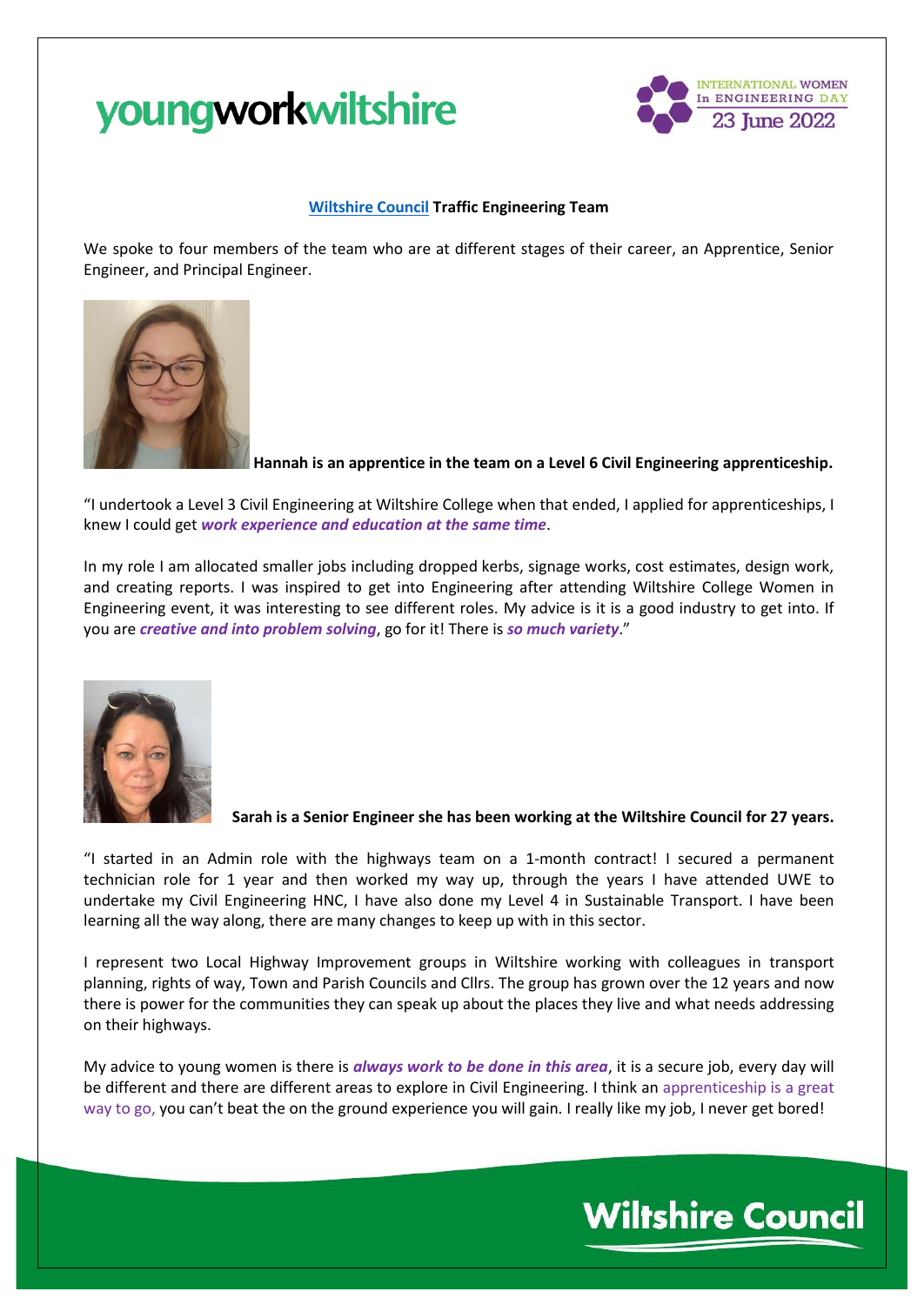

### **[Wiltshire Council](https://jobs.wiltshire.gov.uk/) Traffic Engineering Team**

We spoke to four members of the team who are at different stages of their career, an Apprentice, Senior Engineer, and Principal Engineer.



**Hannah is an apprentice in the team on a Level 6 Civil Engineering apprenticeship.** 

"I undertook a Level 3 Civil Engineering at Wiltshire College when that ended, I applied for apprenticeships, I knew I could get *work experience and education at the same time*.

In my role I am allocated smaller jobs including dropped kerbs, signage works, cost estimates, design work, and creating reports. I was inspired to get into Engineering after attending Wiltshire College Women in Engineering event, it was interesting to see different roles. My advice is it is a good industry to get into. If you are *creative and into problem solving*, go for it! There is *so much variety*."



**Sarah is a Senior Engineer she has been working at the Wiltshire Council for 27 years.**

"I started in an Admin role with the highways team on a 1-month contract! I secured a permanent technician role for 1 year and then worked my way up, through the years I have attended UWE to undertake my Civil Engineering HNC, I have also done my Level 4 in Sustainable Transport. I have been learning all the way along, there are many changes to keep up with in this sector.

I represent two Local Highway Improvement groups in Wiltshire working with colleagues in transport planning, rights of way, Town and Parish Councils and Cllrs. The group has grown over the 12 years and now there is power for the communities they can speak up about the places they live and what needs addressing on their highways.

My advice to young women is there is *always work to be done in this area*, it is a secure job, every day will be different and there are different areas to explore in Civil Engineering. I think an apprenticeship is a great way to go, you can't beat the on the ground experience you will gain. I really like my job, I never get bored!